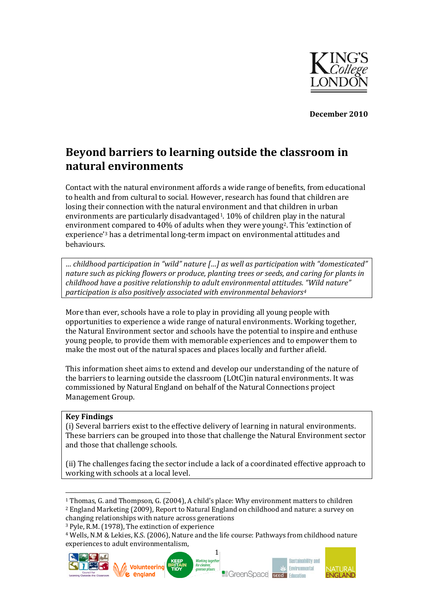

**December 2010**

# **Beyond barriers to learning outside the classroom in natural environments**

Contact with the natural environment affords a wide range of benefits, from educational to health and from cultural to social. However, research has found that children are losing their connection with the natural environment and that children in urban environments are particularly disadvantaged<sup>1</sup>.  $10\%$  of children play in the natural environment compared to 40% of adults when they were young2. This 'extinction of experience'<sup>3</sup> has a detrimental long-term impact on environmental attitudes and behaviours.

*… childhood participation in "wild" nature […] as well as participation with "domesticated" nature such as picking flowers or produce, planting trees or seeds, and caring for plants in childhood have a positive relationship to adult environmental attitudes. "Wild nature" participation is also positively associated with environmental behaviors<sup>4</sup>*

More than ever, schools have a role to play in providing all young people with opportunities to experience a wide range of natural environments. Working together, the Natural Environment sector and schools have the potential to inspire and enthuse young people, to provide them with memorable experiences and to empower them to make the most out of the natural spaces and places locally and further afield.

This information sheet aims to extend and develop our understanding of the nature of the barriers to learning outside the classroom (LOtC)in natural environments. It was commissioned by Natural England on behalf of the Natural Connections project Management Group.

#### **Key Findings**

l

(i) Several barriers exist to the effective delivery of learning in natural environments. These barriers can be grouped into those that challenge the Natural Environment sector and those that challenge schools.

(ii) The challenges facing the sector include a lack of a coordinated effective approach to working with schools at a local level.

<sup>3</sup> Pyle, R.M. (1978), The extinction of experience

<sup>4</sup> Wells, N.M & Lekies, K.S. (2006), Nature and the life course: Pathways from childhood nature experiences to adult environmentalism,



<sup>1</sup> Thomas, G. and Thompson, G. (2004), A child's place: Why environment matters to children <sup>2</sup> England Marketing (2009), Report to Natural England on childhood and nature: a survey on changing relationships with nature across generations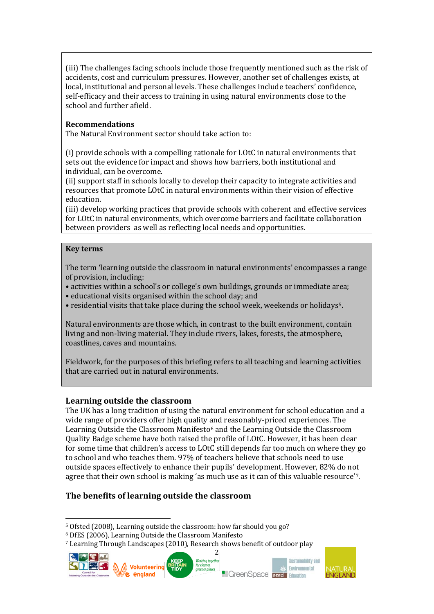(iii) The challenges facing schools include those frequently mentioned such as the risk of accidents, cost and curriculum pressures. However, another set of challenges exists, at local, institutional and personal levels. These challenges include teachers' confidence, self-efficacy and their access to training in using natural environments close to the school and further afield.

# **Recommendations**

The Natural Environment sector should take action to:

(i) provide schools with a compelling rationale for LOtC in natural environments that sets out the evidence for impact and shows how barriers, both institutional and individual, can be overcome.

(ii) support staff in schools locally to develop their capacity to integrate activities and resources that promote LOtC in natural environments within their vision of effective education.

(iii) develop working practices that provide schools with coherent and effective services for LOtC in natural environments, which overcome barriers and facilitate collaboration between providers as well as reflecting local needs and opportunities.

#### **Key terms**

The term 'learning outside the classroom in natural environments' encompasses a range of provision, including:

• activities within a school's or college's own buildings, grounds or immediate area;

• educational visits organised within the school day; and

• residential visits that take place during the school week, weekends or holidays 5.

Natural environments are those which, in contrast to the built environment, contain living and non-living material. They include rivers, lakes, forests, the atmosphere, coastlines, caves and mountains.

Fieldwork, for the purposes of this briefing refers to all teaching and learning activities that are carried out in natural environments.

# **Learning outside the classroom**

The UK has a long tradition of using the natural environment for school education and a wide range of providers offer high quality and reasonably-priced experiences. The Learning Outside the Classroom Manifesto<sup>6</sup> and the Learning Outside the Classroom Quality Badge scheme have both raised the profile of LOtC. However, it has been clear for some time that children's access to LOtC still depends far too much on where they go to school and who teaches them. 97% of teachers believe that schools need to use outside spaces effectively to enhance their pupils' development. However, 82% do not agree that their own school is making 'as much use as it can of this valuable resource'7.

2

# **The benefits of learning outside the classroom**

**C.** england

<sup>7</sup> Learning Through Landscapes (2010), Research shows benefit of outdoor play









l <sup>5</sup> Ofsted (2008), Learning outside the classroom: how far should you go?

<sup>6</sup> DfES (2006), Learning Outside the Classroom Manifesto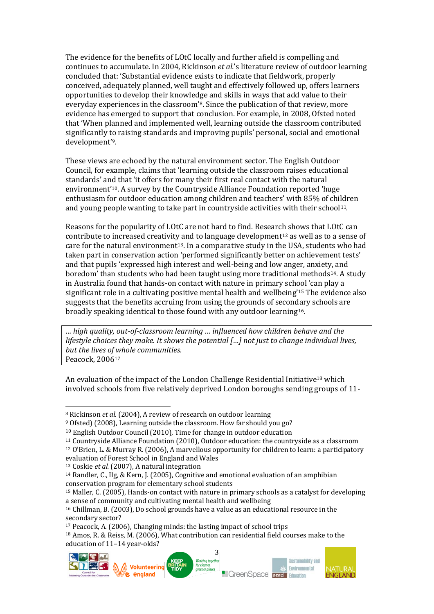The evidence for the benefits of LOtC locally and further afield is compelling and continues to accumulate. In 2004, Rickinson *et al.*'s literature review of outdoor learning concluded that: 'Substantial evidence exists to indicate that fieldwork, properly conceived, adequately planned, well taught and effectively followed up, offers learners opportunities to develop their knowledge and skills in ways that add value to their everyday experiences in the classroom'8. Since the publication of that review, more evidence has emerged to support that conclusion. For example, in 2008, Ofsted noted that 'When planned and implemented well, learning outside the classroom contributed significantly to raising standards and improving pupils' personal, social and emotional development' 9.

These views are echoed by the natural environment sector. The English Outdoor Council, for example, claims that 'learning outside the classroom raises educational standards' and that 'it offers for many their first real contact with the natural environment' <sup>10</sup>. A survey by the Countryside Alliance Foundation reported 'huge enthusiasm for outdoor education among children and teachers' with 85% of children and young people wanting to take part in countryside activities with their school<sup>11</sup>.

Reasons for the popularity of LOtC are not hard to find. Research shows that LOtC can contribute to increased creativity and to language development<sup>12</sup> as well as to a sense of care for the natural environment<sup>13</sup>. In a comparative study in the USA, students who had taken part in conservation action 'performed significantly better on achievement tests' and that pupils 'expressed high interest and well-being and low anger, anxiety, and boredom' than students who had been taught using more traditional methods14. A study in Australia found that hands-on contact with nature in primary school 'can play a significant role in a cultivating positive mental health and wellbeing'<sup>15</sup> The evidence also suggests that the benefits accruing from using the grounds of secondary schools are broadly speaking identical to those found with any outdoor learning<sup>16</sup>.

*… high quality, out-of-classroom learning … influenced how children behave and the lifestyle choices they make. It shows the potential […] not just to change individual lives, but the lives of whole communities.* Peacock, 2006<sup>17</sup>

An evaluation of the impact of the London Challenge Residential Initiative<sup>18</sup> which involved schools from five relatively deprived London boroughs sending groups of 11-

 $\mathcal{M}$  Volunteering

**C** england

**Working together** 

greener places

for cleat

**Sustainability and** 

**Environmental** 

**Re**GreenSpace **SEEC** Education



l

<sup>8</sup> Rickinson *et al.* (2004), A review of research on outdoor learning

<sup>9</sup> Ofsted) (2008), Learning outside the classroom. How far should you go?

<sup>10</sup> English Outdoor Council (2010), Time for change in outdoor education

<sup>11</sup> Countryside Alliance Foundation (2010), Outdoor education: the countryside as a classroom

<sup>12</sup> O'Brien, L. & Murray R. (2006), A marvellous opportunity for children to learn: a participatory evaluation of Forest School in England and Wales

<sup>13</sup> Coskie *et al.* (2007), A natural integration

<sup>14</sup> Randler, C., Ilg, & Kern, J. (2005), Cognitive and emotional evaluation of an amphibian conservation program for elementary school students

<sup>15</sup> Maller, C. (2005), Hands-on contact with nature in primary schools as a catalyst for developing a sense of community and cultivating mental health and wellbeing

<sup>16</sup> Chillman, B. (2003), Do school grounds have a value as an educational resource in the secondary sector?

<sup>17</sup> Peacock, A. (2006), Changing minds: the lasting impact of school trips

<sup>3</sup> <sup>18</sup> Amos, R. & Reiss, M. (2006), What contribution can residential field courses make to the education of 11–14 year-olds?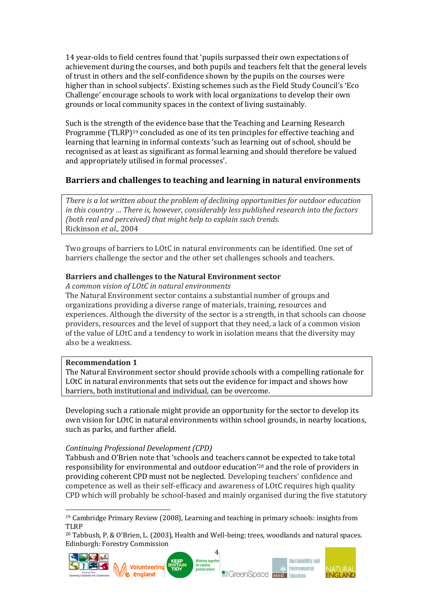14 year-olds to field centres found that 'pupils surpassed their own expectations of achievement during the courses, and both pupils and teachers felt that the general levels of trust in others and the self-confidence shown by the pupils on the courses were higher than in school subjects'. Existing schemes such as the Field Study Council's 'Eco Challenge' encourage schools to work with local organizations to develop their own grounds or local community spaces in the context of living sustainably.

Such is the strength of the evidence base that the Teaching and Learning Research Programme (TLRP)<sup>19</sup> concluded as one of its ten principles for effective teaching and learning that learning in informal contexts 'such as learning out of school, should be recognised as at least as significant as formal learning and should therefore be valued and appropriately utilised in formal processes'.

# **Barriers and challenges to teaching and learning in natural environments**

*There is a lot written about the problem of declining opportunities for outdoor education in this country … There is, however, considerably less published research into the factors (both real and perceived) that might help to explain such trends.* Rickinson *et al.,* 2004

Two groups of barriers to LOtC in natural environments can be identified. One set of barriers challenge the sector and the other set challenges schools and teachers.

# **Barriers and challenges to the Natural Environment sector**

*A common vision of LOtC in natural environments*

The Natural Environment sector contains a substantial number of groups and organizations providing a diverse range of materials, training, resources and experiences. Although the diversity of the sector is a strength, in that schools can choose providers, resources and the level of support that they need, a lack of a common vision of the value of LOtC and a tendency to work in isolation means that the diversity may also be a weakness.

#### **Recommendation 1**

 $\overline{\phantom{a}}$ 

The Natural Environment sector should provide schools with a compelling rationale for LOtC in natural environments that sets out the evidence for impact and shows how barriers, both institutional and individual, can be overcome.

Developing such a rationale might provide an opportunity for the sector to develop its own vision for LOtC in natural environments within school grounds, in nearby locations, such as parks, and further afield.

#### *Continuing Professional Development (CPD)*

Tabbush and O'Brien note that 'schools and teachers cannot be expected to take total responsibility for environmental and outdoor education' <sup>20</sup> and the role of providers in providing coherent CPD must not be neglected. Developing teachers' confidence and competence as well as their self-efficacy and awareness of LOtC requires high quality CPD which will probably be school-based and mainly organised during the five statutory

<sup>20</sup> Tabbush, P. & O'Brien, L. (2003), Health and Well-being: trees, woodlands and natural spaces. Edinburgh: Forestry Commission



<sup>19</sup> Cambridge Primary Review (2008), Learning and teaching in primary schools: insights from TLRP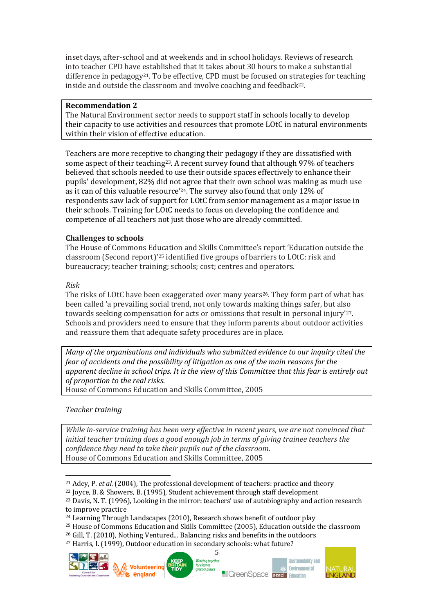inset days, after-school and at weekends and in school holidays. Reviews of research into teacher CPD have established that it takes about 30 hours to make a substantial difference in pedagogy<sup>21</sup>. To be effective, CPD must be focused on strategies for teaching inside and outside the classroom and involve coaching and feedback<sup>22</sup>.

#### **Recommendation 2**

The Natural Environment sector needs to support staff in schools locally to develop their capacity to use activities and resources that promote LOtC in natural environments within their vision of effective education.

Teachers are more receptive to changing their pedagogy if they are dissatisfied with some aspect of their teaching23. A recent survey found that although 97% of teachers believed that schools needed to use their outside spaces effectively to enhance their pupils' development, 82% did not agree that their own school was making as much use as it can of this valuable resource'24. The survey also found that only 12% of respondents saw lack of support for LOtC from senior management as a major issue in their schools. Training for LOtC needs to focus on developing the confidence and competence of all teachers not just those who are already committed.

# **Challenges to schools**

The House of Commons Education and Skills Committee's report 'Education outside the classroom (Second report)'<sup>25</sup> identified five groups of barriers to LOtC: risk and bureaucracy; teacher training; schools; cost; centres and operators.

#### *Risk*

The risks of LOtC have been exaggerated over many years<sup>26</sup>. They form part of what has been called 'a prevailing social trend, not only towards making things safer, but also towards seeking compensation for acts or omissions that result in personal injury'27. Schools and providers need to ensure that they inform parents about outdoor activities and reassure them that adequate safety procedures are in place.

*Many of the organisations and individuals who submitted evidence to our inquiry cited the fear of accidents and the possibility of litigation as one of the main reasons for the apparent decline in school trips. It is the view of this Committee that this fear is entirely out of proportion to the real risks.*

House of Commons Education and Skills Committee, 2005

*Teacher training*

l

*While in-service training has been very effective in recent years, we are not convinced that initial teacher training does a good enough job in terms of giving trainee teachers the confidence they need to take their pupils out of the classroom.* House of Commons Education and Skills Committee, 2005

<sup>27</sup> Harris, I. (1999), Outdoor education in secondary schools: what future?





<sup>21</sup> Adey, P. *et al.* (2004), The professional development of teachers: practice and theory

<sup>22</sup> Joyce, B. & Showers, B. (1995), Student achievement through staff development

<sup>23</sup> Davis, N. T. (1996), Looking in the mirror: teachers' use of autobiography and action research to improve practice

<sup>24</sup> Learning Through Landscapes (2010), Research shows benefit of outdoor play

<sup>25</sup> House of Commons Education and Skills Committee (2005), Education outside the classroom

<sup>26</sup> Gill, T. (2010), Nothing Ventured... Balancing risks and benefits in the outdoors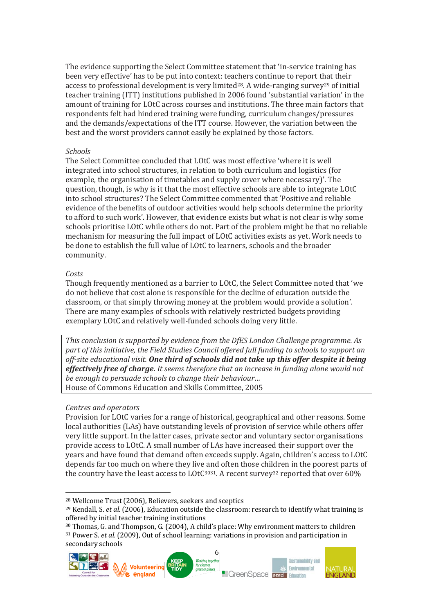The evidence supporting the Select Committee statement that 'in-service training has been very effective' has to be put into context: teachers continue to report that their access to professional development is very limited<sup>28</sup>. A wide-ranging survey<sup>29</sup> of initial teacher training (ITT) institutions published in 2006 found 'substantial variation' in the amount of training for LOtC across courses and institutions. The three main factors that respondents felt had hindered training were funding, curriculum changes/pressures and the demands/expectations of the ITT course. However, the variation between the best and the worst providers cannot easily be explained by those factors.

#### *Schools*

The Select Committee concluded that LOtC was most effective 'where it is well integrated into school structures, in relation to both curriculum and logistics (for example, the organisation of timetables and supply cover where necessary)'. The question, though, is why is it that the most effective schools are able to integrate LOtC into school structures? The Select Committee commented that 'Positive and reliable evidence of the benefits of outdoor activities would help schools determine the priority to afford to such work'. However, that evidence exists but what is not clear is why some schools prioritise LOtC while others do not. Part of the problem might be that no reliable mechanism for measuring the full impact of LOtC activities exists as yet. Work needs to be done to establish the full value of LOtC to learners, schools and the broader community.

#### *Costs*

l

Though frequently mentioned as a barrier to LOtC, the Select Committee noted that 'we do not believe that cost alone is responsible for the decline of education outside the classroom, or that simply throwing money at the problem would provide a solution'. There are many examples of schools with relatively restricted budgets providing exemplary LOtC and relatively well-funded schools doing very little.

*This conclusion is supported by evidence from the DfES London Challenge programme. As part of this initiative, the Field Studies Council offered full funding to schools to support an off-site educational visit. One third of schools did not take up this offer despite it being effectively free of charge. It seems therefore that an increase in funding alone would not be enough to persuade schools to change their behaviour…* House of Commons Education and Skills Committee, 2005

#### *Centres and operators*

Provision for LOtC varies for a range of historical, geographical and other reasons. Some local authorities (LAs) have outstanding levels of provision of service while others offer very little support. In the latter cases, private sector and voluntary sector organisations provide access to LOtC. A small number of LAs have increased their support over the years and have found that demand often exceeds supply. Again, children's access to LOtC depends far too much on where they live and often those children in the poorest parts of the country have the least access to  $LOtC<sup>3031</sup>$ . A recent survey<sup>32</sup> reported that over 60%

<sup>30</sup> Thomas, G. and Thompson, G. (2004), A child's place: Why environment matters to children <sup>31</sup> Power S. *et al.* (2009), Out of school learning: variations in provision and participation in secondary schools



<sup>28</sup> Wellcome Trust (2006), Believers, seekers and sceptics

<sup>29</sup> Kendall, S. *et al.* (2006), Education outside the classroom: research to identify what training is offered by initial teacher training institutions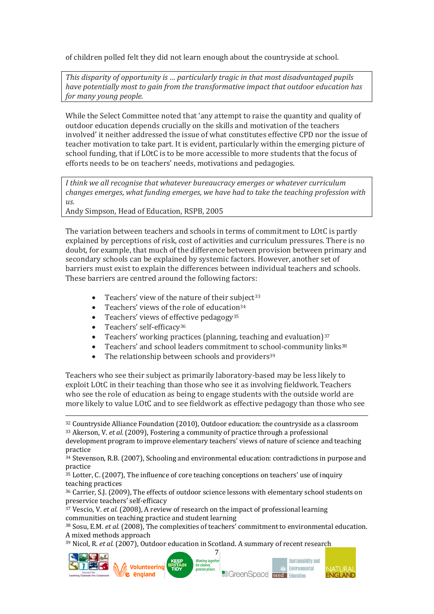of children polled felt they did not learn enough about the countryside at school.

*This disparity of opportunity is … particularly tragic in that most disadvantaged pupils have potentially most to gain from the transformative impact that outdoor education has for many young people.*

While the Select Committee noted that 'any attempt to raise the quantity and quality of outdoor education depends crucially on the skills and motivation of the teachers involved' it neither addressed the issue of what constitutes effective CPD nor the issue of teacher motivation to take part. It is evident, particularly within the emerging picture of school funding, that if LOtC is to be more accessible to more students that the focus of efforts needs to be on teachers' needs, motivations and pedagogies.

*I think we all recognise that whatever bureaucracy emerges or whatever curriculum changes emerges, what funding emerges, we have had to take the teaching profession with us.*

Andy Simpson, Head of Education, RSPB, 2005

The variation between teachers and schools in terms of commitment to LOtC is partly explained by perceptions of risk, cost of activities and curriculum pressures. There is no doubt, for example, that much of the difference between provision between primary and secondary schools can be explained by systemic factors. However, another set of barriers must exist to explain the differences between individual teachers and schools. These barriers are centred around the following factors:

- Teachers' view of the nature of their subject<sup>33</sup>
- Teachers' views of the role of education $34$
- Teachers' views of effective pedagogy<sup>35</sup>
- Teachers' self-efficacy<sup>36</sup>
- Teachers' working practices (planning, teaching and evaluation) $37$
- Teachers' and school leaders commitment to school-community links<sup>38</sup>
- The relationship between schools and providers<sup>39</sup>

Teachers who see their subject as primarily laboratory-based may be less likely to exploit LOtC in their teaching than those who see it as involving fieldwork. Teachers who see the role of education as being to engage students with the outside world are more likely to value LOtC and to see fieldwork as effective pedagogy than those who see

<sup>32</sup> Countryside Alliance Foundation (2010), Outdoor education: the countryside as a classroom

<sup>33</sup> Akerson, V. *et al.* (2009), Fostering a community of practice through a professional development program to improve elementary teachers' views of nature of science and teaching practice

<sup>34</sup> Stevenson, R.B. (2007), Schooling and environmental education: contradictions in purpose and practice

<sup>35</sup> Lotter, C. (2007), The influence of core teaching conceptions on teachers' use of inquiry teaching practices

<sup>36</sup> Carrier, S.J. (2009), The effects of outdoor science lessons with elementary school students on preservice teachers' self-efficacy

<sup>37</sup> Vescio, V. *et al.* (2008), A review of research on the impact of professional learning communities on teaching practice and student learning

<sup>38</sup> Sosu, E.M. *et al.* (2008), The complexities of teachers' commitment to environmental education. A mixed methods approach

7

<sup>39</sup> Nicol, R. *et al.* (2007), Outdoor education in Scotland. A summary of recent research



 $\overline{\phantom{a}}$ 





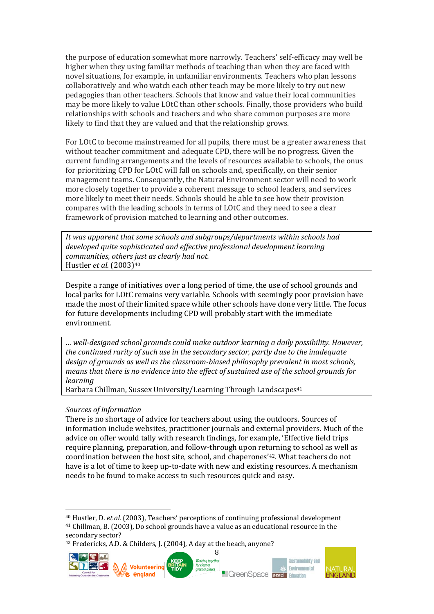the purpose of education somewhat more narrowly. Teachers' self-efficacy may well be higher when they using familiar methods of teaching than when they are faced with novel situations, for example, in unfamiliar environments. Teachers who plan lessons collaboratively and who watch each other teach may be more likely to try out new pedagogies than other teachers. Schools that know and value their local communities may be more likely to value LOtC than other schools. Finally, those providers who build relationships with schools and teachers and who share common purposes are more likely to find that they are valued and that the relationship grows.

For LOtC to become mainstreamed for all pupils, there must be a greater awareness that without teacher commitment and adequate CPD, there will be no progress. Given the current funding arrangements and the levels of resources available to schools, the onus for prioritizing CPD for LOtC will fall on schools and, specifically, on their senior management teams. Consequently, the Natural Environment sector will need to work more closely together to provide a coherent message to school leaders, and services more likely to meet their needs. Schools should be able to see how their provision compares with the leading schools in terms of LOtC and they need to see a clear framework of provision matched to learning and other outcomes.

*It was apparent that some schools and subgroups/departments within schools had developed quite sophisticated and effective professional development learning communities, others just as clearly had not.* Hustler *et al.* (2003)<sup>40</sup>

Despite a range of initiatives over a long period of time, the use of school grounds and local parks for LOtC remains very variable. Schools with seemingly poor provision have made the most of their limited space while other schools have done very little. The focus for future developments including CPD will probably start with the immediate environment.

*… well-designed school grounds could make outdoor learning a daily possibility. However, the continued rarity of such use in the secondary sector, partly due to the inadequate design of grounds as well as the classroom-biased philosophy prevalent in most schools, means that there is no evidence into the effect of sustained use of the school grounds for learning*

Barbara Chillman, Sussex University/Learning Through Landscapes<sup>41</sup>

#### *Sources of information*

 $\overline{\phantom{a}}$ 

There is no shortage of advice for teachers about using the outdoors. Sources of information include websites, practitioner journals and external providers. Much of the advice on offer would tally with research findings, for example, 'Effective field trips require planning, preparation, and follow-through upon returning to school as well as coordination between the host site, school, and chaperones'42. What teachers do not have is a lot of time to keep up-to-date with new and existing resources. A mechanism needs to be found to make access to such resources quick and easy.

<sup>42</sup> Fredericks, A.D. & Childers, J. (2004), A day at the beach, anyone?



<sup>40</sup> Hustler, D. *et al.* (2003), Teachers' perceptions of continuing professional development <sup>41</sup> Chillman, B. (2003), Do school grounds have a value as an educational resource in the secondary sector?